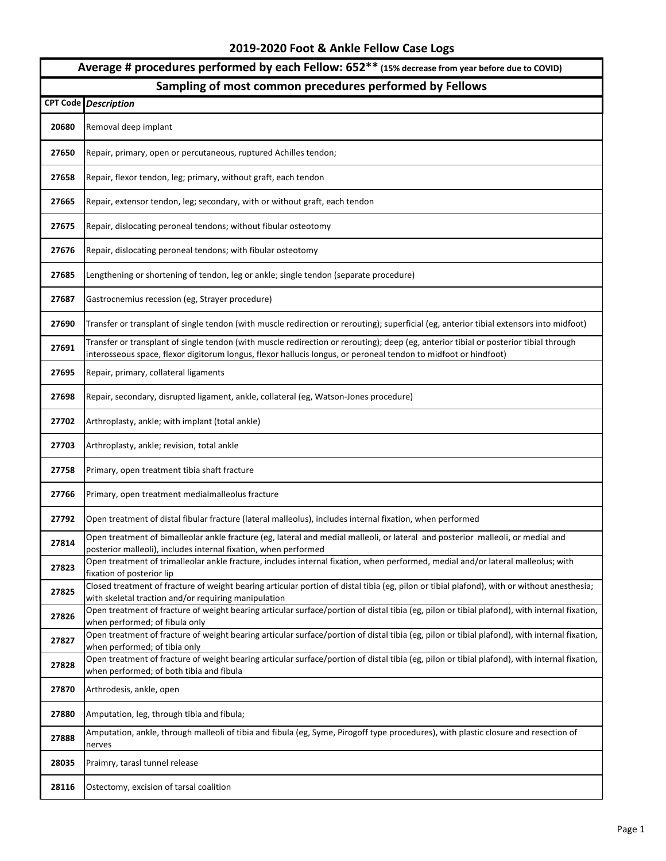## **2019-2020 Foot & Ankle Fellow Case Logs**

## **Average # procedures performed by each Fellow: 652\*\* (15% decrease from year before due to COVID)**

## **Sampling of most common precedures performed by Fellows**

|       | <b>CPT Code Description</b>                                                                                                                                                                                                                              |
|-------|----------------------------------------------------------------------------------------------------------------------------------------------------------------------------------------------------------------------------------------------------------|
| 20680 | Removal deep implant                                                                                                                                                                                                                                     |
| 27650 | Repair, primary, open or percutaneous, ruptured Achilles tendon;                                                                                                                                                                                         |
| 27658 | Repair, flexor tendon, leg; primary, without graft, each tendon                                                                                                                                                                                          |
| 27665 | Repair, extensor tendon, leg; secondary, with or without graft, each tendon                                                                                                                                                                              |
| 27675 | Repair, dislocating peroneal tendons; without fibular osteotomy                                                                                                                                                                                          |
| 27676 | Repair, dislocating peroneal tendons; with fibular osteotomy                                                                                                                                                                                             |
| 27685 | Lengthening or shortening of tendon, leg or ankle; single tendon (separate procedure)                                                                                                                                                                    |
| 27687 | Gastrocnemius recession (eg, Strayer procedure)                                                                                                                                                                                                          |
| 27690 | Transfer or transplant of single tendon (with muscle redirection or rerouting); superficial (eg, anterior tibial extensors into midfoot)                                                                                                                 |
| 27691 | Transfer or transplant of single tendon (with muscle redirection or rerouting); deep (eg, anterior tibial or posterior tibial through<br>interosseous space, flexor digitorum longus, flexor hallucis longus, or peroneal tendon to midfoot or hindfoot) |
| 27695 | Repair, primary, collateral ligaments                                                                                                                                                                                                                    |
| 27698 | Repair, secondary, disrupted ligament, ankle, collateral (eg, Watson-Jones procedure)                                                                                                                                                                    |
| 27702 | Arthroplasty, ankle; with implant (total ankle)                                                                                                                                                                                                          |
| 27703 | Arthroplasty, ankle; revision, total ankle                                                                                                                                                                                                               |
| 27758 | Primary, open treatment tibia shaft fracture                                                                                                                                                                                                             |
| 27766 | Primary, open treatment medialmalleolus fracture                                                                                                                                                                                                         |
| 27792 | Open treatment of distal fibular fracture (lateral malleolus), includes internal fixation, when performed                                                                                                                                                |
| 27814 | Open treatment of bimalleolar ankle fracture (eg, lateral and medial malleoli, or lateral and posterior malleoli, or medial and<br>posterior malleoli), includes internal fixation, when performed                                                       |
| 27823 | Open treatment of trimalleolar ankle fracture, includes internal fixation, when performed, medial and/or lateral malleolus; with<br>fixation of posterior lip                                                                                            |
| 27825 | Closed treatment of fracture of weight bearing articular portion of distal tibia (eg, pilon or tibial plafond), with or without anesthesia;<br>with skeletal traction and/or requiring manipulation                                                      |
| 27826 | Open treatment of fracture of weight bearing articular surface/portion of distal tibia (eg, pilon or tibial plafond), with internal fixation,<br>when performed; of fibula only                                                                          |
| 27827 | Open treatment of fracture of weight bearing articular surface/portion of distal tibia (eg, pilon or tibial plafond), with internal fixation,<br>when performed; of tibia only                                                                           |
| 27828 | Open treatment of fracture of weight bearing articular surface/portion of distal tibia (eg, pilon or tibial plafond), with internal fixation,<br>when performed; of both tibia and fibula                                                                |
| 27870 | Arthrodesis, ankle, open                                                                                                                                                                                                                                 |
| 27880 | Amputation, leg, through tibia and fibula;                                                                                                                                                                                                               |
| 27888 | Amputation, ankle, through malleoli of tibia and fibula (eg, Syme, Pirogoff type procedures), with plastic closure and resection of<br>nerves                                                                                                            |
| 28035 | Praimry, tarasl tunnel release                                                                                                                                                                                                                           |
| 28116 | Ostectomy, excision of tarsal coalition                                                                                                                                                                                                                  |